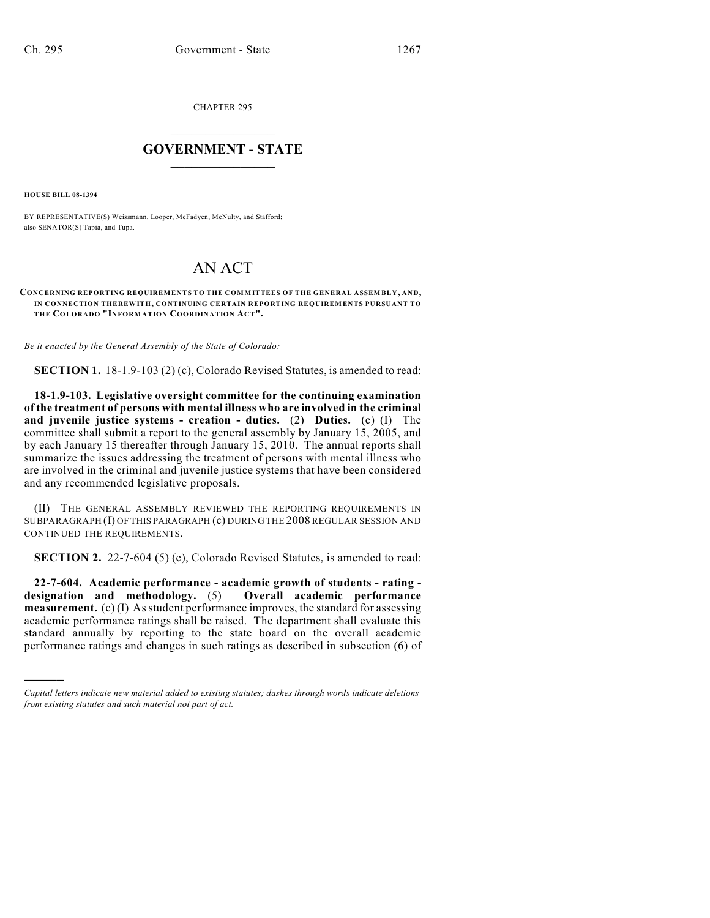CHAPTER 295

## $\overline{\phantom{a}}$  . The set of the set of the set of the set of the set of the set of the set of the set of the set of the set of the set of the set of the set of the set of the set of the set of the set of the set of the set o **GOVERNMENT - STATE**  $\_$

**HOUSE BILL 08-1394**

)))))

BY REPRESENTATIVE(S) Weissmann, Looper, McFadyen, McNulty, and Stafford; also SENATOR(S) Tapia, and Tupa.

## AN ACT

## **CONCERNING REPORTING REQUIREMENTS TO THE COMMITTEES OF THE GENERAL ASSEMBLY, AND, IN CONNECTION THEREWITH, CONTINUING CERTAIN REPORTING REQUIREMENTS PURSUANT TO THE COLORADO "INFORMATION COORDINATION ACT".**

*Be it enacted by the General Assembly of the State of Colorado:*

**SECTION 1.** 18-1.9-103 (2) (c), Colorado Revised Statutes, is amended to read:

**18-1.9-103. Legislative oversight committee for the continuing examination of the treatment of persons with mental illness who are involved in the criminal and juvenile justice systems - creation - duties.** (2) **Duties.** (c) (I) The committee shall submit a report to the general assembly by January 15, 2005, and by each January 15 thereafter through January 15, 2010. The annual reports shall summarize the issues addressing the treatment of persons with mental illness who are involved in the criminal and juvenile justice systems that have been considered and any recommended legislative proposals.

(II) THE GENERAL ASSEMBLY REVIEWED THE REPORTING REQUIREMENTS IN SUBPARAGRAPH (I) OF THIS PARAGRAPH (c) DURING THE 2008 REGULAR SESSION AND CONTINUED THE REQUIREMENTS.

**SECTION 2.** 22-7-604 (5) (c), Colorado Revised Statutes, is amended to read:

**22-7-604. Academic performance - academic growth of students - rating designation and methodology.** (5) **measurement.** (c) (I) As student performance improves, the standard for assessing academic performance ratings shall be raised. The department shall evaluate this standard annually by reporting to the state board on the overall academic performance ratings and changes in such ratings as described in subsection (6) of

*Capital letters indicate new material added to existing statutes; dashes through words indicate deletions from existing statutes and such material not part of act.*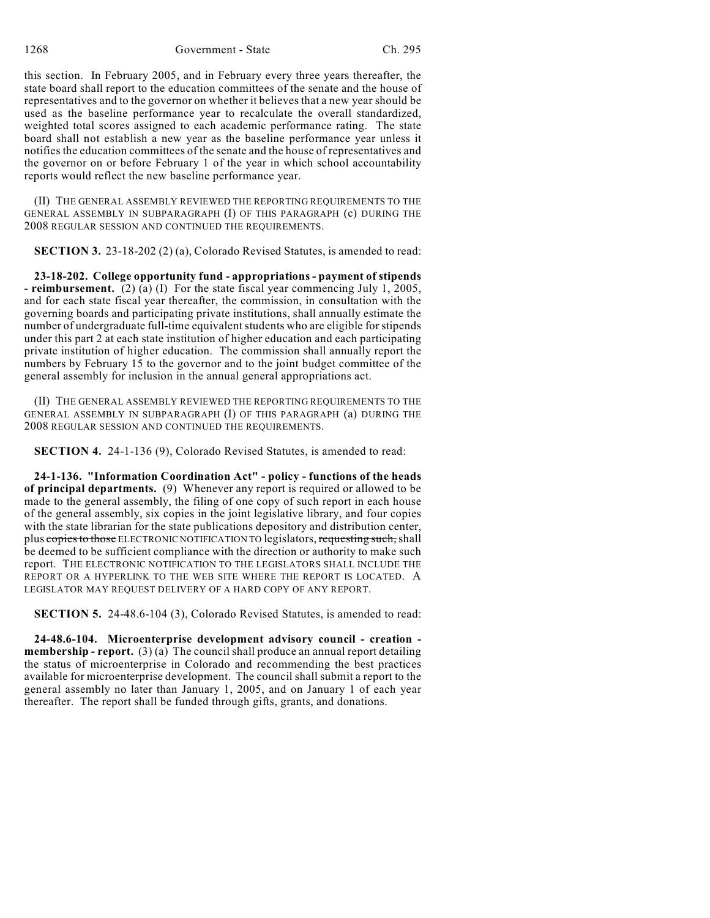1268 Government - State Ch. 295

this section. In February 2005, and in February every three years thereafter, the state board shall report to the education committees of the senate and the house of representatives and to the governor on whether it believes that a new year should be used as the baseline performance year to recalculate the overall standardized, weighted total scores assigned to each academic performance rating. The state board shall not establish a new year as the baseline performance year unless it notifies the education committees of the senate and the house of representatives and the governor on or before February 1 of the year in which school accountability reports would reflect the new baseline performance year.

(II) THE GENERAL ASSEMBLY REVIEWED THE REPORTING REQUIREMENTS TO THE GENERAL ASSEMBLY IN SUBPARAGRAPH (I) OF THIS PARAGRAPH (c) DURING THE 2008 REGULAR SESSION AND CONTINUED THE REQUIREMENTS.

**SECTION 3.** 23-18-202 (2) (a), Colorado Revised Statutes, is amended to read:

**23-18-202. College opportunity fund - appropriations - payment of stipends - reimbursement.** (2) (a) (I) For the state fiscal year commencing July 1, 2005, and for each state fiscal year thereafter, the commission, in consultation with the governing boards and participating private institutions, shall annually estimate the number of undergraduate full-time equivalent students who are eligible for stipends under this part 2 at each state institution of higher education and each participating private institution of higher education. The commission shall annually report the numbers by February 15 to the governor and to the joint budget committee of the general assembly for inclusion in the annual general appropriations act.

(II) THE GENERAL ASSEMBLY REVIEWED THE REPORTING REQUIREMENTS TO THE GENERAL ASSEMBLY IN SUBPARAGRAPH (I) OF THIS PARAGRAPH (a) DURING THE 2008 REGULAR SESSION AND CONTINUED THE REQUIREMENTS.

**SECTION 4.** 24-1-136 (9), Colorado Revised Statutes, is amended to read:

**24-1-136. "Information Coordination Act" - policy - functions of the heads of principal departments.** (9) Whenever any report is required or allowed to be made to the general assembly, the filing of one copy of such report in each house of the general assembly, six copies in the joint legislative library, and four copies with the state librarian for the state publications depository and distribution center, plus copies to those ELECTRONIC NOTIFICATION TO legislators, requesting such, shall be deemed to be sufficient compliance with the direction or authority to make such report. THE ELECTRONIC NOTIFICATION TO THE LEGISLATORS SHALL INCLUDE THE REPORT OR A HYPERLINK TO THE WEB SITE WHERE THE REPORT IS LOCATED. A LEGISLATOR MAY REQUEST DELIVERY OF A HARD COPY OF ANY REPORT.

**SECTION 5.** 24-48.6-104 (3), Colorado Revised Statutes, is amended to read:

**24-48.6-104. Microenterprise development advisory council - creation membership - report.** (3)(a) The council shall produce an annual report detailing the status of microenterprise in Colorado and recommending the best practices available for microenterprise development. The council shall submit a report to the general assembly no later than January 1, 2005, and on January 1 of each year thereafter. The report shall be funded through gifts, grants, and donations.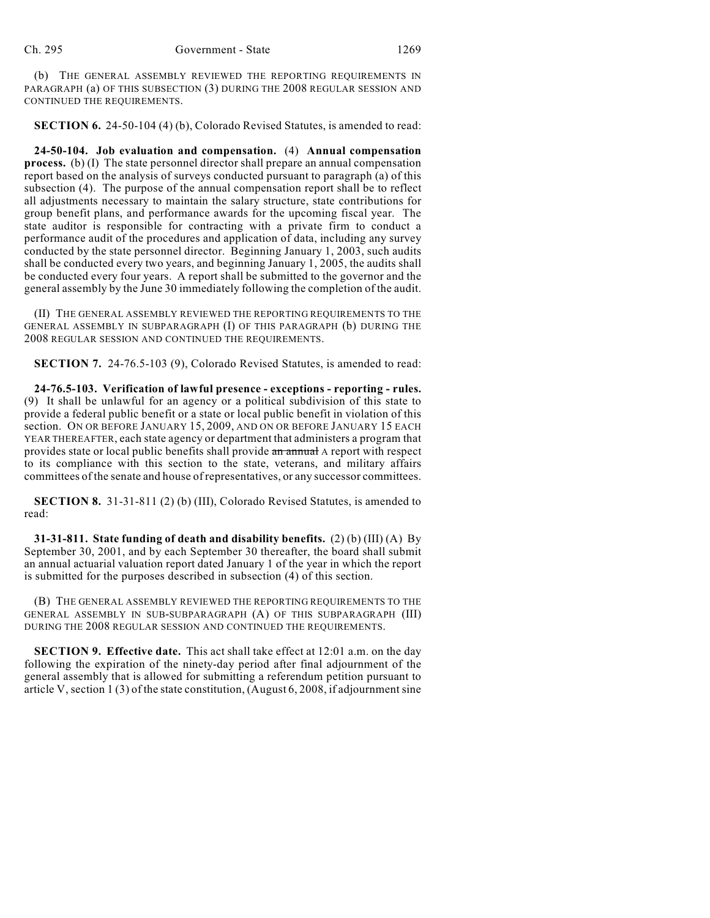(b) THE GENERAL ASSEMBLY REVIEWED THE REPORTING REQUIREMENTS IN PARAGRAPH (a) OF THIS SUBSECTION (3) DURING THE 2008 REGULAR SESSION AND CONTINUED THE REQUIREMENTS.

**SECTION 6.** 24-50-104 (4) (b), Colorado Revised Statutes, is amended to read:

**24-50-104. Job evaluation and compensation.** (4) **Annual compensation process.** (b) (I) The state personnel director shall prepare an annual compensation report based on the analysis of surveys conducted pursuant to paragraph (a) of this subsection (4). The purpose of the annual compensation report shall be to reflect all adjustments necessary to maintain the salary structure, state contributions for group benefit plans, and performance awards for the upcoming fiscal year. The state auditor is responsible for contracting with a private firm to conduct a performance audit of the procedures and application of data, including any survey conducted by the state personnel director. Beginning January 1, 2003, such audits shall be conducted every two years, and beginning January 1, 2005, the audits shall be conducted every four years. A report shall be submitted to the governor and the general assembly by the June 30 immediately following the completion of the audit.

(II) THE GENERAL ASSEMBLY REVIEWED THE REPORTING REQUIREMENTS TO THE GENERAL ASSEMBLY IN SUBPARAGRAPH (I) OF THIS PARAGRAPH (b) DURING THE 2008 REGULAR SESSION AND CONTINUED THE REQUIREMENTS.

**SECTION 7.** 24-76.5-103 (9), Colorado Revised Statutes, is amended to read:

**24-76.5-103. Verification of lawful presence - exceptions - reporting - rules.** (9) It shall be unlawful for an agency or a political subdivision of this state to provide a federal public benefit or a state or local public benefit in violation of this section. ON OR BEFORE JANUARY 15, 2009, AND ON OR BEFORE JANUARY 15 EACH YEAR THEREAFTER, each state agency or department that administers a program that provides state or local public benefits shall provide an annual A report with respect to its compliance with this section to the state, veterans, and military affairs committees of the senate and house of representatives, or any successor committees.

**SECTION 8.** 31-31-811 (2) (b) (III), Colorado Revised Statutes, is amended to read:

**31-31-811. State funding of death and disability benefits.** (2) (b) (III) (A) By September 30, 2001, and by each September 30 thereafter, the board shall submit an annual actuarial valuation report dated January 1 of the year in which the report is submitted for the purposes described in subsection (4) of this section.

(B) THE GENERAL ASSEMBLY REVIEWED THE REPORTING REQUIREMENTS TO THE GENERAL ASSEMBLY IN SUB-SUBPARAGRAPH (A) OF THIS SUBPARAGRAPH (III) DURING THE 2008 REGULAR SESSION AND CONTINUED THE REQUIREMENTS.

**SECTION 9. Effective date.** This act shall take effect at 12:01 a.m. on the day following the expiration of the ninety-day period after final adjournment of the general assembly that is allowed for submitting a referendum petition pursuant to article V, section 1 (3) of the state constitution, (August 6, 2008, if adjournment sine